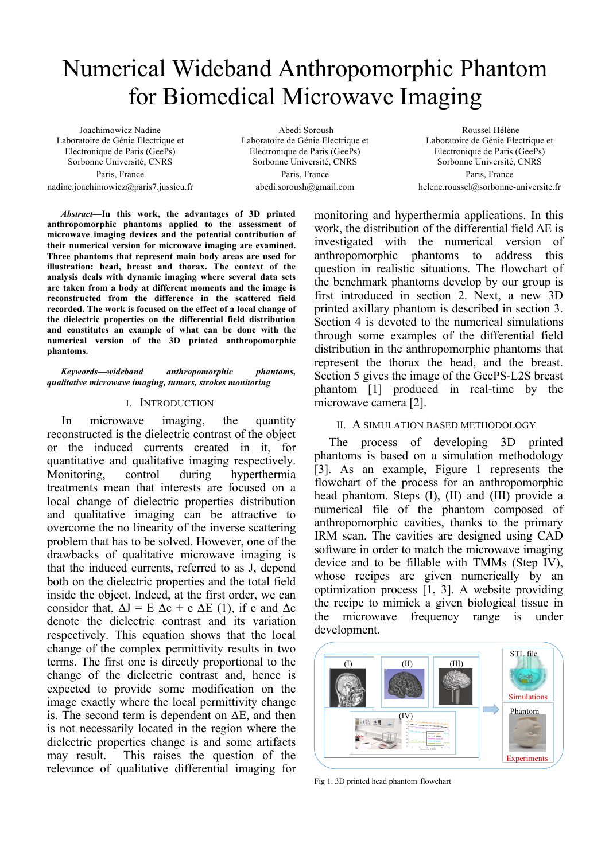# Numerical Wideband Anthropomorphic Phantom for Biomedical Microwave Imaging

Joachimowicz Nadine Laboratoire de Génie Electrique et Electronique de Paris (GeePs) Sorbonne Université, CNRS Paris, France

nadine.joachimowicz@paris7.jussieu.fr

Abedi Soroush Laboratoire de Génie Electrique et Electronique de Paris (GeePs) Sorbonne Université, CNRS Paris, France abedi.soroush@gmail.com

Roussel Hélène Laboratoire de Génie Electrique et Electronique de Paris (GeePs) Sorbonne Université, CNRS Paris, France helene.roussel@sorbonne-universite.fr

*Abstract***—In this work, the advantages of 3D printed anthropomorphic phantoms applied to the assessment of microwave imaging devices and the potential contribution of their numerical version for microwave imaging are examined. Three phantoms that represent main body areas are used for illustration: head, breast and thorax. The context of the analysis deals with dynamic imaging where several data sets are taken from a body at different moments and the image is reconstructed from the difference in the scattered field recorded. The work is focused on the effect of a local change of the dielectric properties on the differential field distribution and constitutes an example of what can be done with the numerical version of the 3D printed anthropomorphic phantoms.**

*Keywords—wideband anthropomorphic phantoms, qualitative microwave imaging, tumors, strokes monitoring*

#### I. INTRODUCTION

In microwave imaging, the quantity reconstructed is the dielectric contrast of the object or the induced currents created in it, for quantitative and qualitative imaging respectively. Monitoring, control during hyperthermia treatments mean that interests are focused on a local change of dielectric properties distribution and qualitative imaging can be attractive to overcome the no linearity of the inverse scattering problem that has to be solved. However, one of the drawbacks of qualitative microwave imaging is that the induced currents, referred to as J, depend both on the dielectric properties and the total field inside the object. Indeed, at the first order, we can consider that,  $\Delta J = E \Delta c + c \Delta E$  (1), if c and  $\Delta c$ denote the dielectric contrast and its variation respectively. This equation shows that the local change of the complex permittivity results in two terms. The first one is directly proportional to the change of the dielectric contrast and, hence is expected to provide some modification on the image exactly where the local permittivity change is. The second term is dependent on  $\Delta E$ , and then is not necessarily located in the region where the dielectric properties change is and some artifacts may result. This raises the question of the relevance of qualitative differential imaging for monitoring and hyperthermia applications. In this work, the distribution of the differential field ΔE is investigated with the numerical version of anthropomorphic phantoms to address this question in realistic situations. The flowchart of the benchmark phantoms develop by our group is first introduced in section 2. Next, a new 3D printed axillary phantom is described in section 3. Section 4 is devoted to the numerical simulations through some examples of the differential field distribution in the anthropomorphic phantoms that represent the thorax the head, and the breast. Section 5 gives the image of the GeePS-L2S breast phantom [1] produced in real-time by the microwave camera [2].

# II. A SIMULATION BASED METHODOLOGY

The process of developing 3D printed phantoms is based on a simulation methodology [3]. As an example, Figure 1 represents the flowchart of the process for an anthropomorphic head phantom. Steps (I), (II) and (III) provide a numerical file of the phantom composed of anthropomorphic cavities, thanks to the primary IRM scan. The cavities are designed using CAD software in order to match the microwave imaging device and to be fillable with TMMs (Step IV), whose recipes are given numerically by an optimization process [1, 3]. A website providing the recipe to mimick a given biological tissue in the microwave frequency range is under development.



Fig 1. 3D printed head phantom flowchart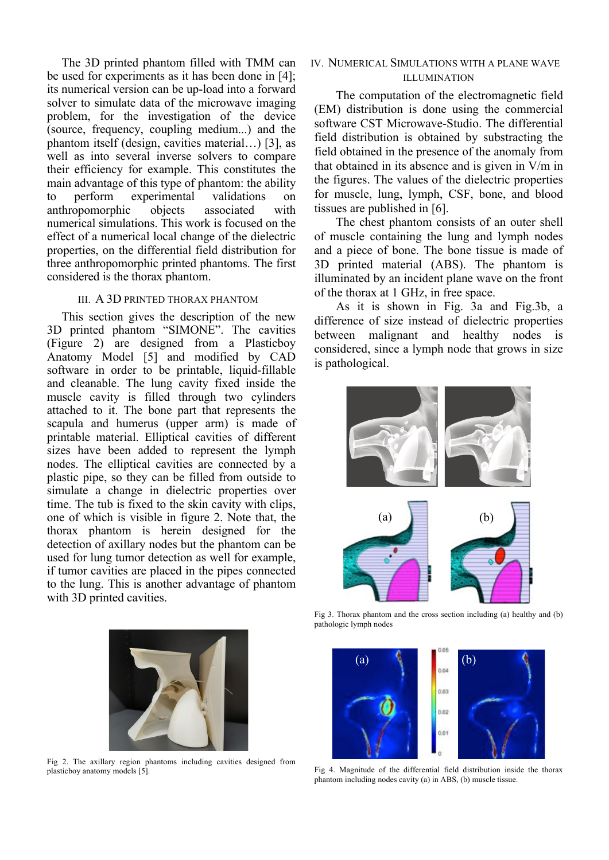The 3D printed phantom filled with TMM can be used for experiments as it has been done in [4]; its numerical version can be up-load into a forward solver to simulate data of the microwave imaging problem, for the investigation of the device (source, frequency, coupling medium...) and the phantom itself (design, cavities material…) [3], as well as into several inverse solvers to compare their efficiency for example. This constitutes the main advantage of this type of phantom: the ability to perform experimental validations on anthropomorphic objects associated with numerical simulations. This work is focused on the effect of a numerical local change of the dielectric properties, on the differential field distribution for three anthropomorphic printed phantoms. The first considered is the thorax phantom.

## III. A 3D PRINTED THORAX PHANTOM

This section gives the description of the new 3D printed phantom "SIMONE". The cavities (Figure 2) are designed from a Plasticboy Anatomy Model [5] and modified by CAD software in order to be printable, liquid-fillable and cleanable. The lung cavity fixed inside the muscle cavity is filled through two cylinders attached to it. The bone part that represents the scapula and humerus (upper arm) is made of printable material. Elliptical cavities of different sizes have been added to represent the lymph nodes. The elliptical cavities are connected by a plastic pipe, so they can be filled from outside to simulate a change in dielectric properties over time. The tub is fixed to the skin cavity with clips, one of which is visible in figure 2. Note that, the thorax phantom is herein designed for the detection of axillary nodes but the phantom can be used for lung tumor detection as well for example, if tumor cavities are placed in the pipes connected to the lung. This is another advantage of phantom with 3D printed cavities.

Fig 2. The axillary region phantoms including cavities designed from plasticboy anatomy models [5].

# IV. NUMERICAL SIMULATIONS WITH A PLANE WAVE ILLUMINATION

The computation of the electromagnetic field (EM) distribution is done using the commercial software CST Microwave-Studio. The differential field distribution is obtained by substracting the field obtained in the presence of the anomaly from that obtained in its absence and is given in V/m in the figures. The values of the dielectric properties for muscle, lung, lymph, CSF, bone, and blood tissues are published in [6].

The chest phantom consists of an outer shell of muscle containing the lung and lymph nodes and a piece of bone. The bone tissue is made of 3D printed material (ABS). The phantom is illuminated by an incident plane wave on the front of the thorax at 1 GHz, in free space.

As it is shown in Fig. 3a and Fig.3b, a difference of size instead of dielectric properties between malignant and healthy nodes is considered, since a lymph node that grows in size is pathological.



Fig 3. Thorax phantom and the cross section including (a) healthy and (b) pathologic lymph nodes



Fig 4. Magnitude of the differential field distribution inside the thorax phantom including nodes cavity (a) in ABS, (b) muscle tissue.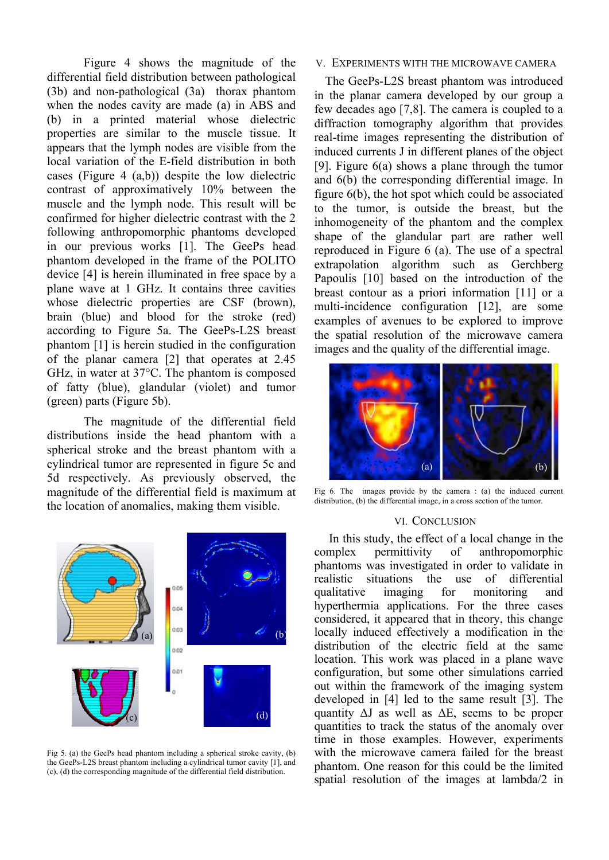Figure 4 shows the magnitude of the differential field distribution between pathological (3b) and non-pathological (3a) thorax phantom when the nodes cavity are made (a) in ABS and (b) in a printed material whose dielectric properties are similar to the muscle tissue. It appears that the lymph nodes are visible from the local variation of the E-field distribution in both cases (Figure 4 (a,b)) despite the low dielectric contrast of approximatively 10% between the muscle and the lymph node. This result will be confirmed for higher dielectric contrast with the 2 following anthropomorphic phantoms developed in our previous works [1]. The GeePs head phantom developed in the frame of the POLITO device [4] is herein illuminated in free space by a plane wave at 1 GHz. It contains three cavities whose dielectric properties are CSF (brown), brain (blue) and blood for the stroke (red) according to Figure 5a. The GeePs-L2S breast phantom [1] is herein studied in the configuration of the planar camera [2] that operates at 2.45 GHz, in water at 37°C. The phantom is composed of fatty (blue), glandular (violet) and tumor (green) parts (Figure 5b).

The magnitude of the differential field distributions inside the head phantom with a spherical stroke and the breast phantom with a cylindrical tumor are represented in figure 5c and 5d respectively. As previously observed, the magnitude of the differential field is maximum at the location of anomalies, making them visible.



Fig 5. (a) the GeePs head phantom including a spherical stroke cavity, (b) the GeePs-L2S breast phantom including a cylindrical tumor cavity [1], and (c), (d) the corresponding magnitude of the differential field distribution.

## V. EXPERIMENTS WITH THE MICROWAVE CAMERA

The GeePs-L2S breast phantom was introduced in the planar camera developed by our group a few decades ago [7,8]. The camera is coupled to a diffraction tomography algorithm that provides real-time images representing the distribution of induced currents J in different planes of the object [9]. Figure 6(a) shows a plane through the tumor and 6(b) the corresponding differential image. In figure 6(b), the hot spot which could be associated to the tumor, is outside the breast, but the inhomogeneity of the phantom and the complex shape of the glandular part are rather well reproduced in Figure 6 (a). The use of a spectral extrapolation algorithm such as Gerchberg Papoulis [10] based on the introduction of the breast contour as a priori information [11] or a multi-incidence configuration [12], are some examples of avenues to be explored to improve the spatial resolution of the microwave camera images and the quality of the differential image.



Fig 6. The images provide by the camera : (a) the induced current distribution, (b) the differential image, in a cross section of the tumor.

#### VI. CONCLUSION

In this study, the effect of a local change in the complex permittivity of anthropomorphic phantoms was investigated in order to validate in realistic situations the use of differential qualitative imaging for monitoring and hyperthermia applications. For the three cases considered, it appeared that in theory, this change locally induced effectively a modification in the distribution of the electric field at the same location. This work was placed in a plane wave configuration, but some other simulations carried out within the framework of the imaging system developed in [4] led to the same result [3]. The quantity  $\Delta J$  as well as  $\Delta E$ , seems to be proper quantities to track the status of the anomaly over time in those examples. However, experiments with the microwave camera failed for the breast phantom. One reason for this could be the limited spatial resolution of the images at lambda/2 in